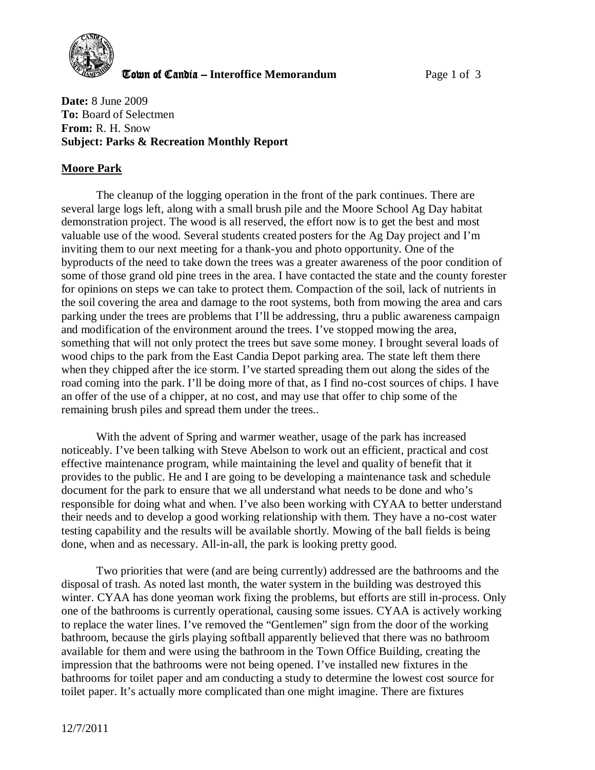

**The United Candia – Interoffice Memorandum Page 1 of 3** 

**Date:** 8 June 2009 **To:** Board of Selectmen **From:** R. H. Snow **Subject: Parks & Recreation Monthly Report** 

## **Moore Park**

The cleanup of the logging operation in the front of the park continues. There are several large logs left, along with a small brush pile and the Moore School Ag Day habitat demonstration project. The wood is all reserved, the effort now is to get the best and most valuable use of the wood. Several students created posters for the Ag Day project and I'm inviting them to our next meeting for a thank-you and photo opportunity. One of the byproducts of the need to take down the trees was a greater awareness of the poor condition of some of those grand old pine trees in the area. I have contacted the state and the county forester for opinions on steps we can take to protect them. Compaction of the soil, lack of nutrients in the soil covering the area and damage to the root systems, both from mowing the area and cars parking under the trees are problems that I'll be addressing, thru a public awareness campaign and modification of the environment around the trees. I've stopped mowing the area, something that will not only protect the trees but save some money. I brought several loads of wood chips to the park from the East Candia Depot parking area. The state left them there when they chipped after the ice storm. I've started spreading them out along the sides of the road coming into the park. I'll be doing more of that, as I find no-cost sources of chips. I have an offer of the use of a chipper, at no cost, and may use that offer to chip some of the remaining brush piles and spread them under the trees..

With the advent of Spring and warmer weather, usage of the park has increased noticeably. I've been talking with Steve Abelson to work out an efficient, practical and cost effective maintenance program, while maintaining the level and quality of benefit that it provides to the public. He and I are going to be developing a maintenance task and schedule document for the park to ensure that we all understand what needs to be done and who's responsible for doing what and when. I've also been working with CYAA to better understand their needs and to develop a good working relationship with them. They have a no-cost water testing capability and the results will be available shortly. Mowing of the ball fields is being done, when and as necessary. All-in-all, the park is looking pretty good.

Two priorities that were (and are being currently) addressed are the bathrooms and the disposal of trash. As noted last month, the water system in the building was destroyed this winter. CYAA has done yeoman work fixing the problems, but efforts are still in-process. Only one of the bathrooms is currently operational, causing some issues. CYAA is actively working to replace the water lines. I've removed the "Gentlemen" sign from the door of the working bathroom, because the girls playing softball apparently believed that there was no bathroom available for them and were using the bathroom in the Town Office Building, creating the impression that the bathrooms were not being opened. I've installed new fixtures in the bathrooms for toilet paper and am conducting a study to determine the lowest cost source for toilet paper. It's actually more complicated than one might imagine. There are fixtures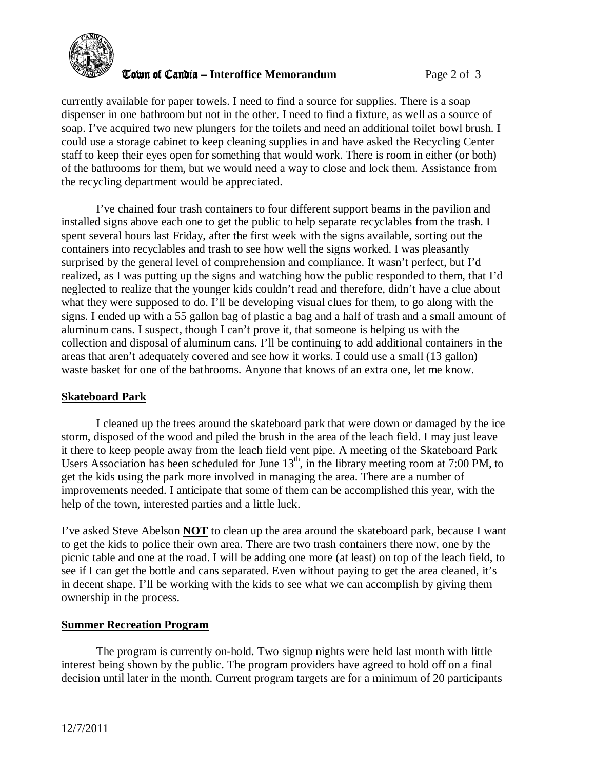

**The United Candia – Interoffice Memorandum** *Page 2 of 3* 

currently available for paper towels. I need to find a source for supplies. There is a soap dispenser in one bathroom but not in the other. I need to find a fixture, as well as a source of soap. I've acquired two new plungers for the toilets and need an additional toilet bowl brush. I could use a storage cabinet to keep cleaning supplies in and have asked the Recycling Center staff to keep their eyes open for something that would work. There is room in either (or both) of the bathrooms for them, but we would need a way to close and lock them. Assistance from the recycling department would be appreciated.

I've chained four trash containers to four different support beams in the pavilion and installed signs above each one to get the public to help separate recyclables from the trash. I spent several hours last Friday, after the first week with the signs available, sorting out the containers into recyclables and trash to see how well the signs worked. I was pleasantly surprised by the general level of comprehension and compliance. It wasn't perfect, but I'd realized, as I was putting up the signs and watching how the public responded to them, that I'd neglected to realize that the younger kids couldn't read and therefore, didn't have a clue about what they were supposed to do. I'll be developing visual clues for them, to go along with the signs. I ended up with a 55 gallon bag of plastic a bag and a half of trash and a small amount of aluminum cans. I suspect, though I can't prove it, that someone is helping us with the collection and disposal of aluminum cans. I'll be continuing to add additional containers in the areas that aren't adequately covered and see how it works. I could use a small (13 gallon) waste basket for one of the bathrooms. Anyone that knows of an extra one, let me know.

## **Skateboard Park**

 I cleaned up the trees around the skateboard park that were down or damaged by the ice storm, disposed of the wood and piled the brush in the area of the leach field. I may just leave it there to keep people away from the leach field vent pipe. A meeting of the Skateboard Park Users Association has been scheduled for June  $13<sup>th</sup>$ , in the library meeting room at 7:00 PM, to get the kids using the park more involved in managing the area. There are a number of improvements needed. I anticipate that some of them can be accomplished this year, with the help of the town, interested parties and a little luck.

I've asked Steve Abelson **NOT** to clean up the area around the skateboard park, because I want to get the kids to police their own area. There are two trash containers there now, one by the picnic table and one at the road. I will be adding one more (at least) on top of the leach field, to see if I can get the bottle and cans separated. Even without paying to get the area cleaned, it's in decent shape. I'll be working with the kids to see what we can accomplish by giving them ownership in the process.

## **Summer Recreation Program**

The program is currently on-hold. Two signup nights were held last month with little interest being shown by the public. The program providers have agreed to hold off on a final decision until later in the month. Current program targets are for a minimum of 20 participants